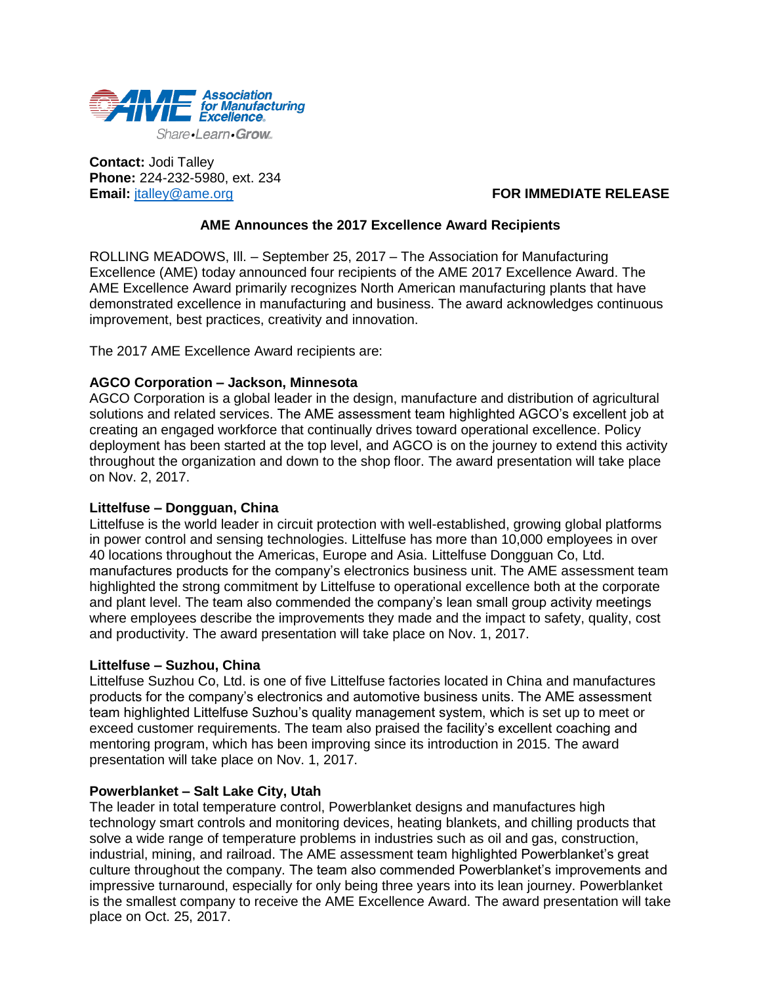

**Contact:** Jodi Talley **Phone:** 224-232-5980, ext. 234 **Email:** [jtalley@ame.org](mailto:jtalley@ame.org) **FOR IMMEDIATE RELEASE** 

# **AME Announces the 2017 Excellence Award Recipients**

ROLLING MEADOWS, Ill. – September 25, 2017 – The Association for Manufacturing Excellence (AME) today announced four recipients of the AME 2017 Excellence Award. The AME Excellence Award primarily recognizes North American manufacturing plants that have demonstrated excellence in manufacturing and business. The award acknowledges continuous improvement, best practices, creativity and innovation.

The 2017 AME Excellence Award recipients are:

## **AGCO Corporation – Jackson, Minnesota**

AGCO Corporation is a global leader in the design, manufacture and distribution of agricultural solutions and related services. The AME assessment team highlighted AGCO's excellent job at creating an engaged workforce that continually drives toward operational excellence. Policy deployment has been started at the top level, and AGCO is on the journey to extend this activity throughout the organization and down to the shop floor. The award presentation will take place on Nov. 2, 2017.

### **Littelfuse – Dongguan, China**

Littelfuse is the world leader in circuit protection with well-established, growing global platforms in power control and sensing technologies. Littelfuse has more than 10,000 employees in over 40 locations throughout the Americas, Europe and Asia. Littelfuse Dongguan Co, Ltd. manufactures products for the company's electronics business unit. The AME assessment team highlighted the strong commitment by Littelfuse to operational excellence both at the corporate and plant level. The team also commended the company's lean small group activity meetings where employees describe the improvements they made and the impact to safety, quality, cost and productivity. The award presentation will take place on Nov. 1, 2017.

### **Littelfuse – Suzhou, China**

Littelfuse Suzhou Co, Ltd. is one of five Littelfuse factories located in China and manufactures products for the company's electronics and automotive business units. The AME assessment team highlighted Littelfuse Suzhou's quality management system, which is set up to meet or exceed customer requirements. The team also praised the facility's excellent coaching and mentoring program, which has been improving since its introduction in 2015. The award presentation will take place on Nov. 1, 2017.

### **Powerblanket – Salt Lake City, Utah**

The leader in total temperature control, Powerblanket designs and manufactures high technology smart controls and monitoring devices, heating blankets, and chilling products that solve a wide range of temperature problems in industries such as oil and gas, construction, industrial, mining, and railroad. The AME assessment team highlighted Powerblanket's great culture throughout the company. The team also commended Powerblanket's improvements and impressive turnaround, especially for only being three years into its lean journey. Powerblanket is the smallest company to receive the AME Excellence Award. The award presentation will take place on Oct. 25, 2017.